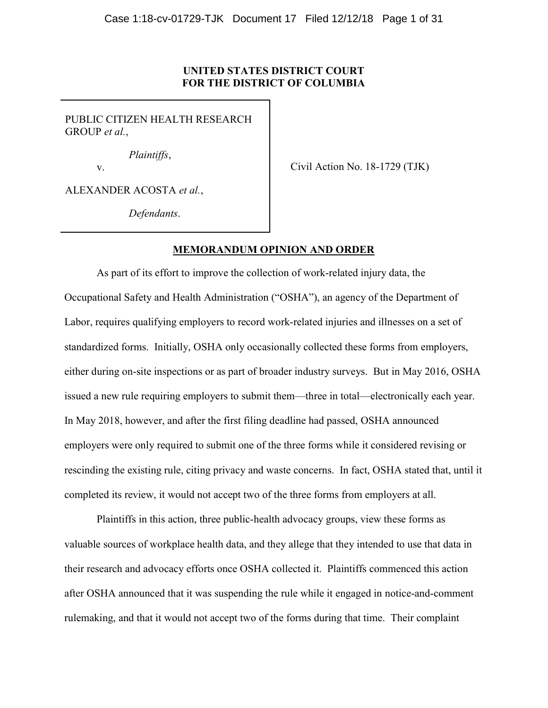# UNITED STATES DISTRICT COURT FOR THE DISTRICT OF COLUMBIA

PUBLIC CITIZEN HEALTH RESEARCH GROUP et al.,

Plaintiffs,

v.

Civil Action No. 18-1729 (TJK)

ALEXANDER ACOSTA et al.,

Defendants.

# MEMORANDUM OPINION AND ORDER

As part of its effort to improve the collection of work-related injury data, the Occupational Safety and Health Administration ("OSHA"), an agency of the Department of Labor, requires qualifying employers to record work-related injuries and illnesses on a set of standardized forms. Initially, OSHA only occasionally collected these forms from employers, either during on-site inspections or as part of broader industry surveys. But in May 2016, OSHA issued a new rule requiring employers to submit them—three in total—electronically each year. In May 2018, however, and after the first filing deadline had passed, OSHA announced employers were only required to submit one of the three forms while it considered revising or rescinding the existing rule, citing privacy and waste concerns. In fact, OSHA stated that, until it completed its review, it would not accept two of the three forms from employers at all.

Plaintiffs in this action, three public-health advocacy groups, view these forms as valuable sources of workplace health data, and they allege that they intended to use that data in their research and advocacy efforts once OSHA collected it. Plaintiffs commenced this action after OSHA announced that it was suspending the rule while it engaged in notice-and-comment rulemaking, and that it would not accept two of the forms during that time. Their complaint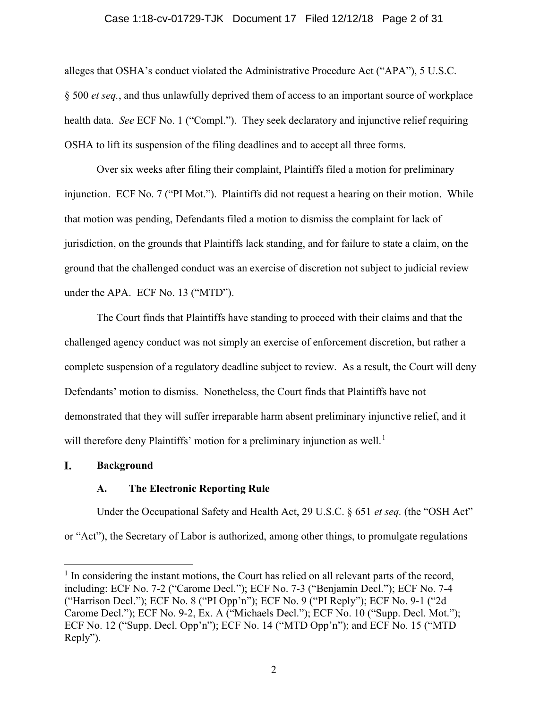#### Case 1:18-cv-01729-TJK Document 17 Filed 12/12/18 Page 2 of 31

alleges that OSHA's conduct violated the Administrative Procedure Act ("APA"), 5 U.S.C. § 500 et seq., and thus unlawfully deprived them of access to an important source of workplace health data. See ECF No. 1 ("Compl."). They seek declaratory and injunctive relief requiring OSHA to lift its suspension of the filing deadlines and to accept all three forms.

Over six weeks after filing their complaint, Plaintiffs filed a motion for preliminary injunction. ECF No. 7 ("PI Mot."). Plaintiffs did not request a hearing on their motion. While that motion was pending, Defendants filed a motion to dismiss the complaint for lack of jurisdiction, on the grounds that Plaintiffs lack standing, and for failure to state a claim, on the ground that the challenged conduct was an exercise of discretion not subject to judicial review under the APA. ECF No. 13 ("MTD").

The Court finds that Plaintiffs have standing to proceed with their claims and that the challenged agency conduct was not simply an exercise of enforcement discretion, but rather a complete suspension of a regulatory deadline subject to review. As a result, the Court will deny Defendants' motion to dismiss. Nonetheless, the Court finds that Plaintiffs have not demonstrated that they will suffer irreparable harm absent preliminary injunctive relief, and it will therefore deny Plaintiffs' motion for a preliminary injunction as well.<sup>1</sup>

#### I. Background

 $\overline{a}$ 

# A. The Electronic Reporting Rule

Under the Occupational Safety and Health Act, 29 U.S.C. § 651 et seq. (the "OSH Act" or "Act"), the Secretary of Labor is authorized, among other things, to promulgate regulations

<sup>&</sup>lt;sup>1</sup> In considering the instant motions, the Court has relied on all relevant parts of the record, including: ECF No. 7-2 ("Carome Decl."); ECF No. 7-3 ("Benjamin Decl."); ECF No. 7-4 ("Harrison Decl."); ECF No. 8 ("PI Opp'n"); ECF No. 9 ("PI Reply"); ECF No. 9-1 ("2d Carome Decl."); ECF No. 9-2, Ex. A ("Michaels Decl."); ECF No. 10 ("Supp. Decl. Mot."); ECF No. 12 ("Supp. Decl. Opp'n"); ECF No. 14 ("MTD Opp'n"); and ECF No. 15 ("MTD Reply").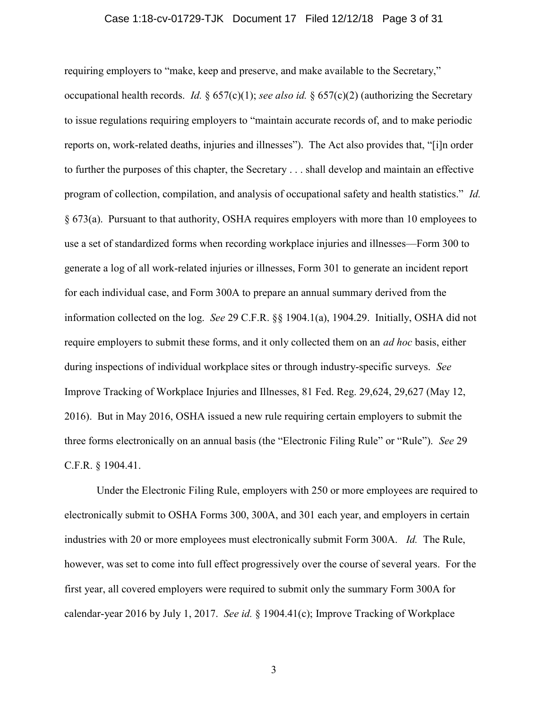#### Case 1:18-cv-01729-TJK Document 17 Filed 12/12/18 Page 3 of 31

requiring employers to "make, keep and preserve, and make available to the Secretary,"

occupational health records. Id. §  $657(c)(1)$ ; see also id. §  $657(c)(2)$  (authorizing the Secretary to issue regulations requiring employers to "maintain accurate records of, and to make periodic reports on, work-related deaths, injuries and illnesses"). The Act also provides that, "[i]n order to further the purposes of this chapter, the Secretary . . . shall develop and maintain an effective program of collection, compilation, and analysis of occupational safety and health statistics." Id. § 673(a). Pursuant to that authority, OSHA requires employers with more than 10 employees to use a set of standardized forms when recording workplace injuries and illnesses—Form 300 to generate a log of all work-related injuries or illnesses, Form 301 to generate an incident report for each individual case, and Form 300A to prepare an annual summary derived from the information collected on the log. See 29 C.F.R. §§ 1904.1(a), 1904.29. Initially, OSHA did not require employers to submit these forms, and it only collected them on an *ad hoc* basis, either during inspections of individual workplace sites or through industry-specific surveys. See Improve Tracking of Workplace Injuries and Illnesses, 81 Fed. Reg. 29,624, 29,627 (May 12, 2016). But in May 2016, OSHA issued a new rule requiring certain employers to submit the three forms electronically on an annual basis (the "Electronic Filing Rule" or "Rule"). See 29 C.F.R. § 1904.41.

Under the Electronic Filing Rule, employers with 250 or more employees are required to electronically submit to OSHA Forms 300, 300A, and 301 each year, and employers in certain industries with 20 or more employees must electronically submit Form 300A. Id. The Rule, however, was set to come into full effect progressively over the course of several years. For the first year, all covered employers were required to submit only the summary Form 300A for calendar-year 2016 by July 1, 2017. See id. § 1904.41(c); Improve Tracking of Workplace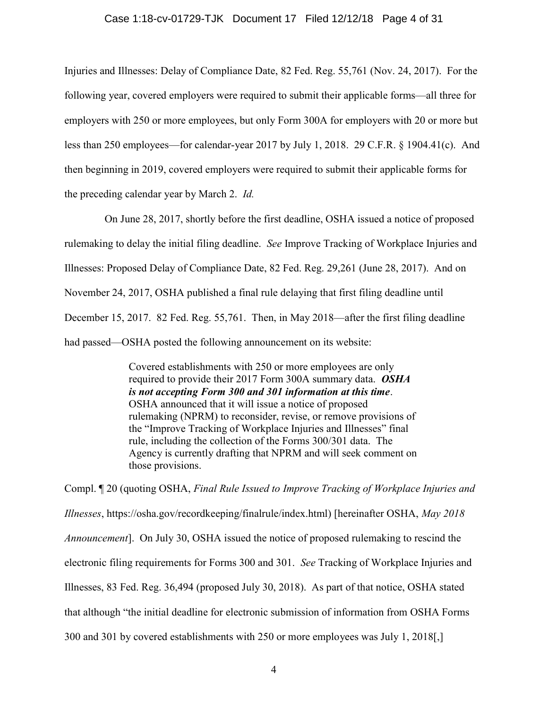#### Case 1:18-cv-01729-TJK Document 17 Filed 12/12/18 Page 4 of 31

Injuries and Illnesses: Delay of Compliance Date, 82 Fed. Reg. 55,761 (Nov. 24, 2017). For the following year, covered employers were required to submit their applicable forms—all three for employers with 250 or more employees, but only Form 300A for employers with 20 or more but less than 250 employees—for calendar-year 2017 by July 1, 2018. 29 C.F.R. § 1904.41(c). And then beginning in 2019, covered employers were required to submit their applicable forms for the preceding calendar year by March 2. Id.

 On June 28, 2017, shortly before the first deadline, OSHA issued a notice of proposed rulemaking to delay the initial filing deadline. See Improve Tracking of Workplace Injuries and Illnesses: Proposed Delay of Compliance Date, 82 Fed. Reg. 29,261 (June 28, 2017). And on November 24, 2017, OSHA published a final rule delaying that first filing deadline until December 15, 2017. 82 Fed. Reg. 55,761. Then, in May 2018—after the first filing deadline had passed—OSHA posted the following announcement on its website:

> Covered establishments with 250 or more employees are only required to provide their 2017 Form 300A summary data. OSHA is not accepting Form 300 and 301 information at this time. OSHA announced that it will issue a notice of proposed rulemaking (NPRM) to reconsider, revise, or remove provisions of the "Improve Tracking of Workplace Injuries and Illnesses" final rule, including the collection of the Forms 300/301 data. The Agency is currently drafting that NPRM and will seek comment on those provisions.

Compl. ¶ 20 (quoting OSHA, Final Rule Issued to Improve Tracking of Workplace Injuries and Illnesses, https://osha.gov/recordkeeping/finalrule/index.html) [hereinafter OSHA, May 2018 Announcement]. On July 30, OSHA issued the notice of proposed rulemaking to rescind the electronic filing requirements for Forms 300 and 301. See Tracking of Workplace Injuries and Illnesses, 83 Fed. Reg. 36,494 (proposed July 30, 2018). As part of that notice, OSHA stated that although "the initial deadline for electronic submission of information from OSHA Forms 300 and 301 by covered establishments with 250 or more employees was July 1, 2018[,]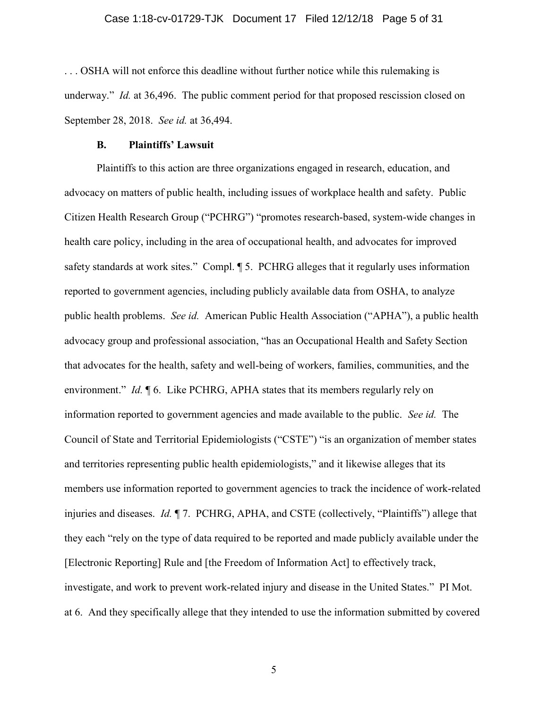### Case 1:18-cv-01729-TJK Document 17 Filed 12/12/18 Page 5 of 31

. . . OSHA will not enforce this deadline without further notice while this rulemaking is underway." *Id.* at 36,496. The public comment period for that proposed rescission closed on September 28, 2018. See id. at 36,494.

# B. Plaintiffs' Lawsuit

Plaintiffs to this action are three organizations engaged in research, education, and advocacy on matters of public health, including issues of workplace health and safety. Public Citizen Health Research Group ("PCHRG") "promotes research-based, system-wide changes in health care policy, including in the area of occupational health, and advocates for improved safety standards at work sites." Compl. ¶ 5. PCHRG alleges that it regularly uses information reported to government agencies, including publicly available data from OSHA, to analyze public health problems. See id. American Public Health Association ("APHA"), a public health advocacy group and professional association, "has an Occupational Health and Safety Section that advocates for the health, safety and well-being of workers, families, communities, and the environment." *Id.* **16.** Like PCHRG, APHA states that its members regularly rely on information reported to government agencies and made available to the public. See id. The Council of State and Territorial Epidemiologists ("CSTE") "is an organization of member states and territories representing public health epidemiologists," and it likewise alleges that its members use information reported to government agencies to track the incidence of work-related injuries and diseases. Id. ¶ 7. PCHRG, APHA, and CSTE (collectively, "Plaintiffs") allege that they each "rely on the type of data required to be reported and made publicly available under the [Electronic Reporting] Rule and [the Freedom of Information Act] to effectively track, investigate, and work to prevent work-related injury and disease in the United States." PI Mot. at 6. And they specifically allege that they intended to use the information submitted by covered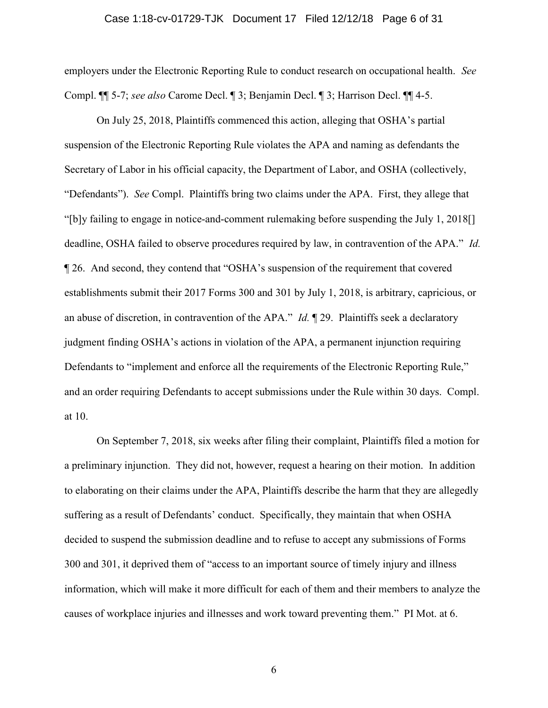#### Case 1:18-cv-01729-TJK Document 17 Filed 12/12/18 Page 6 of 31

employers under the Electronic Reporting Rule to conduct research on occupational health. See Compl. ¶¶ 5-7; see also Carome Decl. ¶ 3; Benjamin Decl. ¶ 3; Harrison Decl. ¶¶ 4-5.

On July 25, 2018, Plaintiffs commenced this action, alleging that OSHA's partial suspension of the Electronic Reporting Rule violates the APA and naming as defendants the Secretary of Labor in his official capacity, the Department of Labor, and OSHA (collectively, "Defendants"). See Compl. Plaintiffs bring two claims under the APA. First, they allege that "[b]y failing to engage in notice-and-comment rulemaking before suspending the July 1, 2018[] deadline, OSHA failed to observe procedures required by law, in contravention of the APA." *Id.* ¶ 26. And second, they contend that "OSHA's suspension of the requirement that covered establishments submit their 2017 Forms 300 and 301 by July 1, 2018, is arbitrary, capricious, or an abuse of discretion, in contravention of the APA." Id.  $\P$  29. Plaintiffs seek a declaratory judgment finding OSHA's actions in violation of the APA, a permanent injunction requiring Defendants to "implement and enforce all the requirements of the Electronic Reporting Rule," and an order requiring Defendants to accept submissions under the Rule within 30 days. Compl. at 10.

On September 7, 2018, six weeks after filing their complaint, Plaintiffs filed a motion for a preliminary injunction. They did not, however, request a hearing on their motion. In addition to elaborating on their claims under the APA, Plaintiffs describe the harm that they are allegedly suffering as a result of Defendants' conduct. Specifically, they maintain that when OSHA decided to suspend the submission deadline and to refuse to accept any submissions of Forms 300 and 301, it deprived them of "access to an important source of timely injury and illness information, which will make it more difficult for each of them and their members to analyze the causes of workplace injuries and illnesses and work toward preventing them." PI Mot. at 6.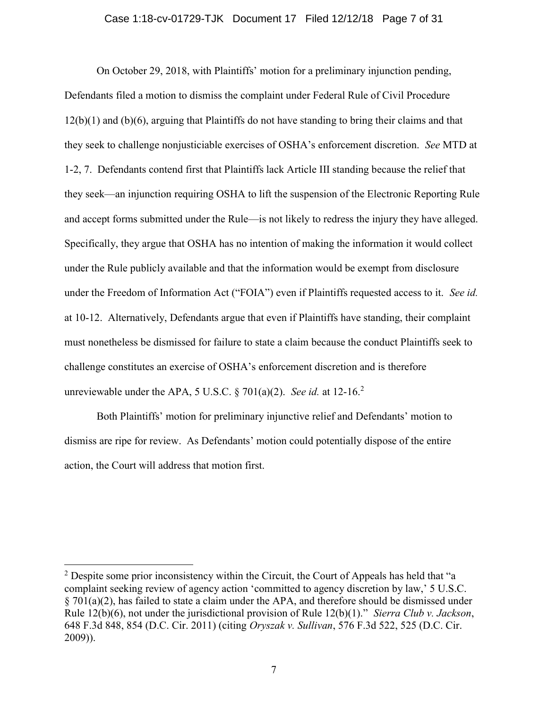#### Case 1:18-cv-01729-TJK Document 17 Filed 12/12/18 Page 7 of 31

On October 29, 2018, with Plaintiffs' motion for a preliminary injunction pending, Defendants filed a motion to dismiss the complaint under Federal Rule of Civil Procedure 12(b)(1) and (b)(6), arguing that Plaintiffs do not have standing to bring their claims and that they seek to challenge nonjusticiable exercises of OSHA's enforcement discretion. See MTD at 1-2, 7. Defendants contend first that Plaintiffs lack Article III standing because the relief that they seek—an injunction requiring OSHA to lift the suspension of the Electronic Reporting Rule and accept forms submitted under the Rule—is not likely to redress the injury they have alleged. Specifically, they argue that OSHA has no intention of making the information it would collect under the Rule publicly available and that the information would be exempt from disclosure under the Freedom of Information Act ("FOIA") even if Plaintiffs requested access to it. See id. at 10-12. Alternatively, Defendants argue that even if Plaintiffs have standing, their complaint must nonetheless be dismissed for failure to state a claim because the conduct Plaintiffs seek to challenge constitutes an exercise of OSHA's enforcement discretion and is therefore unreviewable under the APA, 5 U.S.C. § 701(a)(2). See id. at  $12$ -16.<sup>2</sup>

Both Plaintiffs' motion for preliminary injunctive relief and Defendants' motion to dismiss are ripe for review. As Defendants' motion could potentially dispose of the entire action, the Court will address that motion first.

<sup>&</sup>lt;sup>2</sup> Despite some prior inconsistency within the Circuit, the Court of Appeals has held that "a complaint seeking review of agency action 'committed to agency discretion by law,' 5 U.S.C. § 701(a)(2), has failed to state a claim under the APA, and therefore should be dismissed under Rule  $12(b)(6)$ , not under the jurisdictional provision of Rule  $12(b)(1)$ ." Sierra Club v. Jackson, 648 F.3d 848, 854 (D.C. Cir. 2011) (citing Oryszak v. Sullivan, 576 F.3d 522, 525 (D.C. Cir. 2009)).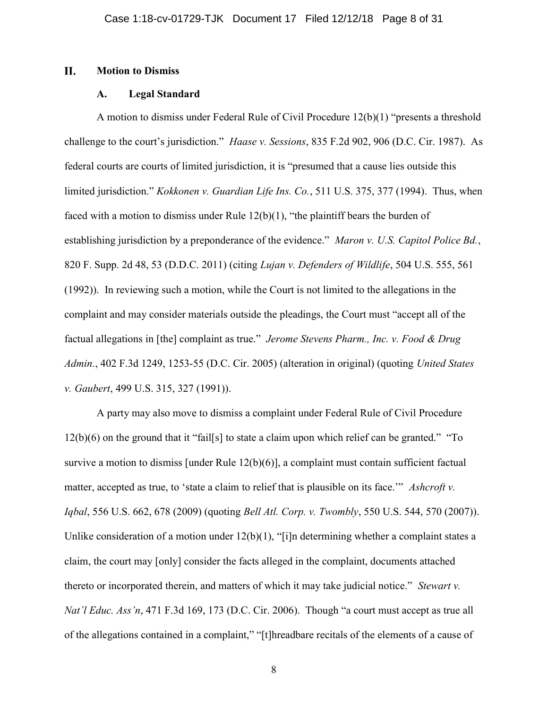#### II. Motion to Dismiss

# A. Legal Standard

A motion to dismiss under Federal Rule of Civil Procedure 12(b)(1) "presents a threshold challenge to the court's jurisdiction." Haase v. Sessions, 835 F.2d 902, 906 (D.C. Cir. 1987). As federal courts are courts of limited jurisdiction, it is "presumed that a cause lies outside this limited jurisdiction." *Kokkonen v. Guardian Life Ins. Co.*, 511 U.S. 375, 377 (1994). Thus, when faced with a motion to dismiss under Rule 12(b)(1), "the plaintiff bears the burden of establishing jurisdiction by a preponderance of the evidence." Maron v. U.S. Capitol Police Bd., 820 F. Supp. 2d 48, 53 (D.D.C. 2011) (citing Lujan v. Defenders of Wildlife, 504 U.S. 555, 561 (1992)). In reviewing such a motion, while the Court is not limited to the allegations in the complaint and may consider materials outside the pleadings, the Court must "accept all of the factual allegations in [the] complaint as true." Jerome Stevens Pharm., Inc. v. Food & Drug Admin., 402 F.3d 1249, 1253-55 (D.C. Cir. 2005) (alteration in original) (quoting United States v. Gaubert, 499 U.S. 315, 327 (1991)).

A party may also move to dismiss a complaint under Federal Rule of Civil Procedure 12(b)(6) on the ground that it "fail[s] to state a claim upon which relief can be granted." "To survive a motion to dismiss [under Rule 12(b)(6)], a complaint must contain sufficient factual matter, accepted as true, to 'state a claim to relief that is plausible on its face." Ashcroft v. Iqbal, 556 U.S. 662, 678 (2009) (quoting Bell Atl. Corp. v. Twombly, 550 U.S. 544, 570 (2007)). Unlike consideration of a motion under  $12(b)(1)$ , "[i]n determining whether a complaint states a claim, the court may [only] consider the facts alleged in the complaint, documents attached thereto or incorporated therein, and matters of which it may take judicial notice." Stewart v. Nat'l Educ. Ass'n, 471 F.3d 169, 173 (D.C. Cir. 2006). Though "a court must accept as true all of the allegations contained in a complaint," "[t]hreadbare recitals of the elements of a cause of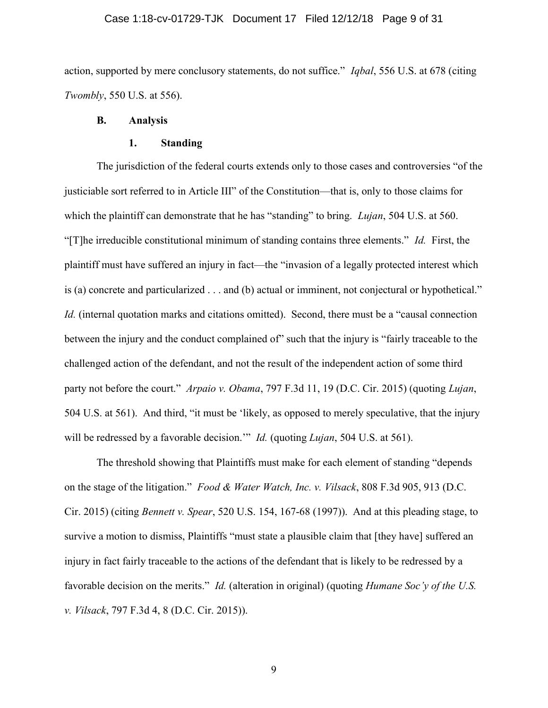### Case 1:18-cv-01729-TJK Document 17 Filed 12/12/18 Page 9 of 31

action, supported by mere conclusory statements, do not suffice." Iqbal, 556 U.S. at 678 (citing Twombly, 550 U.S. at 556).

# B. Analysis

# 1. Standing

The jurisdiction of the federal courts extends only to those cases and controversies "of the justiciable sort referred to in Article III" of the Constitution—that is, only to those claims for which the plaintiff can demonstrate that he has "standing" to bring. *Lujan*, 504 U.S. at 560. "[T]he irreducible constitutional minimum of standing contains three elements." Id. First, the plaintiff must have suffered an injury in fact—the "invasion of a legally protected interest which is (a) concrete and particularized . . . and (b) actual or imminent, not conjectural or hypothetical." Id. (internal quotation marks and citations omitted). Second, there must be a "causal connection between the injury and the conduct complained of" such that the injury is "fairly traceable to the challenged action of the defendant, and not the result of the independent action of some third party not before the court." Arpaio v. Obama, 797 F.3d 11, 19 (D.C. Cir. 2015) (quoting Lujan, 504 U.S. at 561). And third, "it must be 'likely, as opposed to merely speculative, that the injury will be redressed by a favorable decision." *Id.* (quoting *Lujan*, 504 U.S. at 561).

The threshold showing that Plaintiffs must make for each element of standing "depends on the stage of the litigation." Food & Water Watch, Inc. v. Vilsack, 808 F.3d 905, 913 (D.C. Cir. 2015) (citing Bennett v. Spear, 520 U.S. 154, 167-68 (1997)). And at this pleading stage, to survive a motion to dismiss, Plaintiffs "must state a plausible claim that [they have] suffered an injury in fact fairly traceable to the actions of the defendant that is likely to be redressed by a favorable decision on the merits." *Id.* (alteration in original) (quoting *Humane Soc'y of the U.S.* v. Vilsack, 797 F.3d 4, 8 (D.C. Cir. 2015)).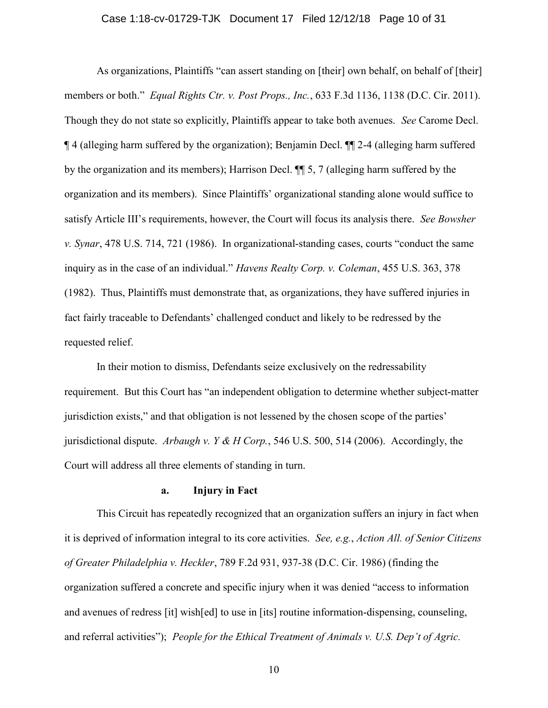# Case 1:18-cv-01729-TJK Document 17 Filed 12/12/18 Page 10 of 31

As organizations, Plaintiffs "can assert standing on [their] own behalf, on behalf of [their] members or both." *Equal Rights Ctr. v. Post Props., Inc.*, 633 F.3d 1136, 1138 (D.C. Cir. 2011). Though they do not state so explicitly, Plaintiffs appear to take both avenues. See Carome Decl. ¶ 4 (alleging harm suffered by the organization); Benjamin Decl. ¶¶ 2-4 (alleging harm suffered by the organization and its members); Harrison Decl. ¶¶ 5, 7 (alleging harm suffered by the organization and its members). Since Plaintiffs' organizational standing alone would suffice to satisfy Article III's requirements, however, the Court will focus its analysis there. See Bowsher v. Synar, 478 U.S. 714, 721 (1986). In organizational-standing cases, courts "conduct the same inquiry as in the case of an individual." Havens Realty Corp. v. Coleman, 455 U.S. 363, 378 (1982). Thus, Plaintiffs must demonstrate that, as organizations, they have suffered injuries in fact fairly traceable to Defendants' challenged conduct and likely to be redressed by the requested relief.

In their motion to dismiss, Defendants seize exclusively on the redressability requirement. But this Court has "an independent obligation to determine whether subject-matter jurisdiction exists," and that obligation is not lessened by the chosen scope of the parties' jurisdictional dispute. Arbaugh v. Y & H Corp., 546 U.S. 500, 514 (2006). Accordingly, the Court will address all three elements of standing in turn.

# a. Injury in Fact

This Circuit has repeatedly recognized that an organization suffers an injury in fact when it is deprived of information integral to its core activities. See, e.g., Action All. of Senior Citizens of Greater Philadelphia v. Heckler, 789 F.2d 931, 937-38 (D.C. Cir. 1986) (finding the organization suffered a concrete and specific injury when it was denied "access to information and avenues of redress [it] wish[ed] to use in [its] routine information-dispensing, counseling, and referral activities"); *People for the Ethical Treatment of Animals v. U.S. Dep't of Agric.*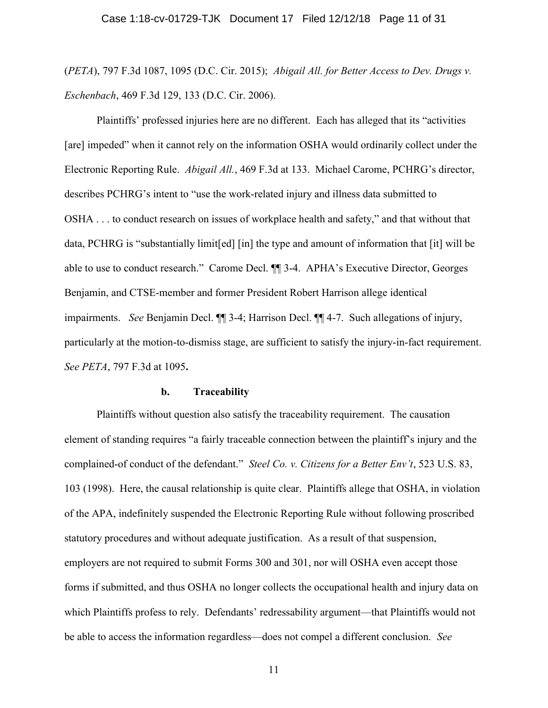$(PETA)$ , 797 F.3d 1087, 1095 (D.C. Cir. 2015); Abigail All. for Better Access to Dev. Drugs v. Eschenbach, 469 F.3d 129, 133 (D.C. Cir. 2006).

Plaintiffs' professed injuries here are no different. Each has alleged that its "activities [are] impeded" when it cannot rely on the information OSHA would ordinarily collect under the Electronic Reporting Rule. Abigail All., 469 F.3d at 133. Michael Carome, PCHRG's director, describes PCHRG's intent to "use the work-related injury and illness data submitted to OSHA . . . to conduct research on issues of workplace health and safety," and that without that data, PCHRG is "substantially limit[ed] [in] the type and amount of information that [it] will be able to use to conduct research." Carome Decl. ¶¶ 3-4. APHA's Executive Director, Georges Benjamin, and CTSE-member and former President Robert Harrison allege identical impairments. See Benjamin Decl. ¶¶ 3-4; Harrison Decl. ¶¶ 4-7. Such allegations of injury, particularly at the motion-to-dismiss stage, are sufficient to satisfy the injury-in-fact requirement. See PETA, 797 F.3d at 1095.

### b. Traceability

Plaintiffs without question also satisfy the traceability requirement. The causation element of standing requires "a fairly traceable connection between the plaintiff's injury and the complained-of conduct of the defendant." Steel Co. v. Citizens for a Better Env't, 523 U.S. 83, 103 (1998). Here, the causal relationship is quite clear. Plaintiffs allege that OSHA, in violation of the APA, indefinitely suspended the Electronic Reporting Rule without following proscribed statutory procedures and without adequate justification. As a result of that suspension, employers are not required to submit Forms 300 and 301, nor will OSHA even accept those forms if submitted, and thus OSHA no longer collects the occupational health and injury data on which Plaintiffs profess to rely. Defendants' redressability argument—that Plaintiffs would not be able to access the information regardless—does not compel a different conclusion. See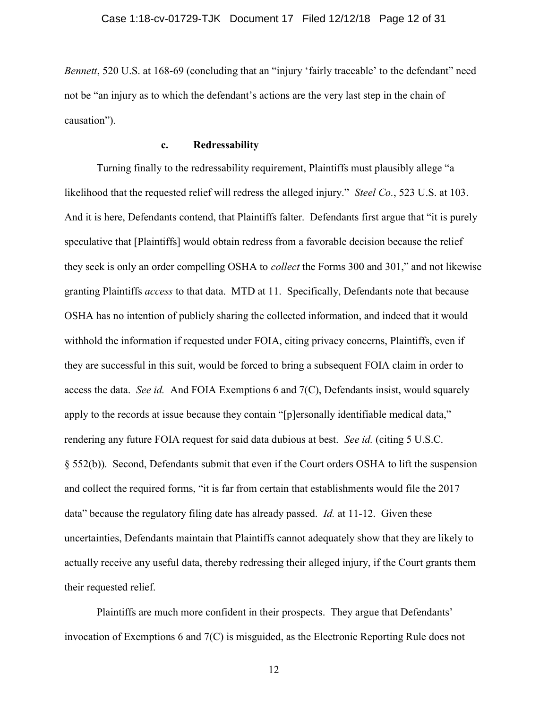Bennett, 520 U.S. at 168-69 (concluding that an "injury 'fairly traceable' to the defendant" need not be "an injury as to which the defendant's actions are the very last step in the chain of causation").

# c. Redressability

Turning finally to the redressability requirement, Plaintiffs must plausibly allege "a likelihood that the requested relief will redress the alleged injury." Steel Co., 523 U.S. at 103. And it is here, Defendants contend, that Plaintiffs falter. Defendants first argue that "it is purely speculative that [Plaintiffs] would obtain redress from a favorable decision because the relief they seek is only an order compelling OSHA to *collect* the Forms 300 and 301," and not likewise granting Plaintiffs access to that data. MTD at 11. Specifically, Defendants note that because OSHA has no intention of publicly sharing the collected information, and indeed that it would withhold the information if requested under FOIA, citing privacy concerns, Plaintiffs, even if they are successful in this suit, would be forced to bring a subsequent FOIA claim in order to access the data. See id. And FOIA Exemptions  $6$  and  $7(C)$ , Defendants insist, would squarely apply to the records at issue because they contain "[p]ersonally identifiable medical data," rendering any future FOIA request for said data dubious at best. See id. (citing 5 U.S.C. § 552(b)). Second, Defendants submit that even if the Court orders OSHA to lift the suspension and collect the required forms, "it is far from certain that establishments would file the 2017 data" because the regulatory filing date has already passed. *Id.* at 11-12. Given these uncertainties, Defendants maintain that Plaintiffs cannot adequately show that they are likely to actually receive any useful data, thereby redressing their alleged injury, if the Court grants them their requested relief.

Plaintiffs are much more confident in their prospects. They argue that Defendants' invocation of Exemptions 6 and 7(C) is misguided, as the Electronic Reporting Rule does not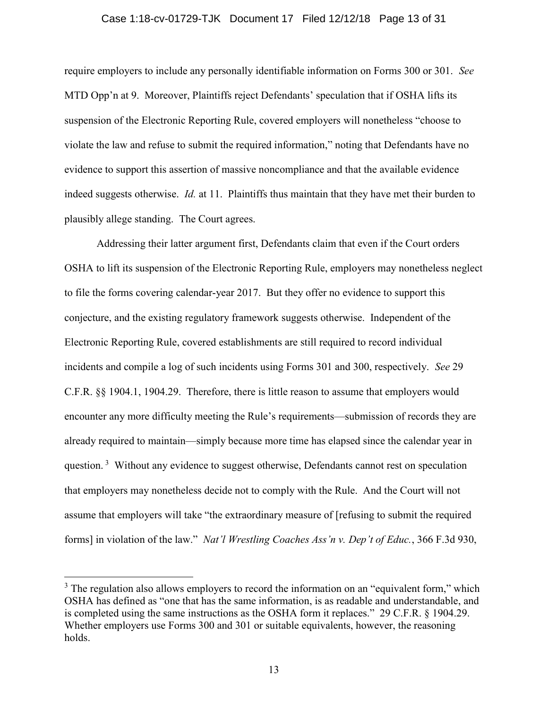#### Case 1:18-cv-01729-TJK Document 17 Filed 12/12/18 Page 13 of 31

require employers to include any personally identifiable information on Forms 300 or 301. See MTD Opp'n at 9. Moreover, Plaintiffs reject Defendants' speculation that if OSHA lifts its suspension of the Electronic Reporting Rule, covered employers will nonetheless "choose to violate the law and refuse to submit the required information," noting that Defendants have no evidence to support this assertion of massive noncompliance and that the available evidence indeed suggests otherwise. Id. at 11. Plaintiffs thus maintain that they have met their burden to plausibly allege standing. The Court agrees.

Addressing their latter argument first, Defendants claim that even if the Court orders OSHA to lift its suspension of the Electronic Reporting Rule, employers may nonetheless neglect to file the forms covering calendar-year 2017. But they offer no evidence to support this conjecture, and the existing regulatory framework suggests otherwise. Independent of the Electronic Reporting Rule, covered establishments are still required to record individual incidents and compile a log of such incidents using Forms 301 and 300, respectively. See 29 C.F.R. §§ 1904.1, 1904.29. Therefore, there is little reason to assume that employers would encounter any more difficulty meeting the Rule's requirements—submission of records they are already required to maintain—simply because more time has elapsed since the calendar year in question.<sup>3</sup> Without any evidence to suggest otherwise, Defendants cannot rest on speculation that employers may nonetheless decide not to comply with the Rule. And the Court will not assume that employers will take "the extraordinary measure of [refusing to submit the required forms] in violation of the law." Nat'l Wrestling Coaches Ass'n v. Dep't of Educ., 366 F.3d 930,

 $3$  The regulation also allows employers to record the information on an "equivalent form," which OSHA has defined as "one that has the same information, is as readable and understandable, and is completed using the same instructions as the OSHA form it replaces." 29 C.F.R. § 1904.29. Whether employers use Forms 300 and 301 or suitable equivalents, however, the reasoning holds.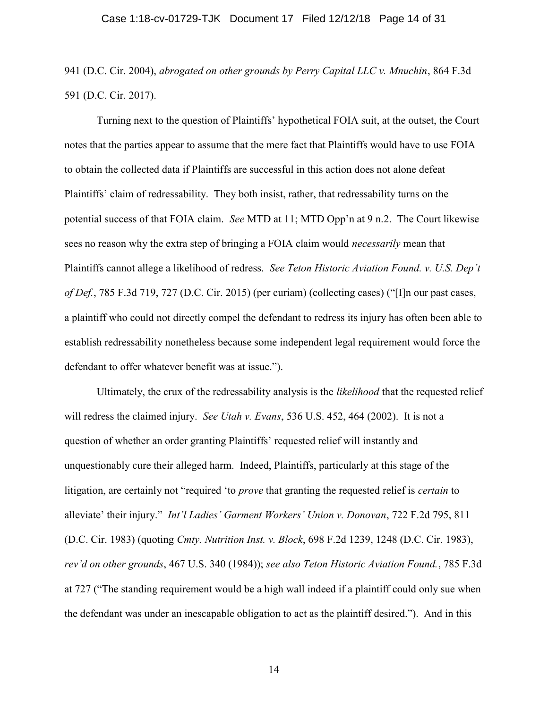# Case 1:18-cv-01729-TJK Document 17 Filed 12/12/18 Page 14 of 31

941 (D.C. Cir. 2004), abrogated on other grounds by Perry Capital LLC v. Mnuchin, 864 F.3d 591 (D.C. Cir. 2017).

Turning next to the question of Plaintiffs' hypothetical FOIA suit, at the outset, the Court notes that the parties appear to assume that the mere fact that Plaintiffs would have to use FOIA to obtain the collected data if Plaintiffs are successful in this action does not alone defeat Plaintiffs' claim of redressability. They both insist, rather, that redressability turns on the potential success of that FOIA claim. See MTD at 11; MTD Opp'n at 9 n.2. The Court likewise sees no reason why the extra step of bringing a FOIA claim would necessarily mean that Plaintiffs cannot allege a likelihood of redress. See Teton Historic Aviation Found. v. U.S. Dep't of Def., 785 F.3d 719, 727 (D.C. Cir. 2015) (per curiam) (collecting cases) ("[I]n our past cases, a plaintiff who could not directly compel the defendant to redress its injury has often been able to establish redressability nonetheless because some independent legal requirement would force the defendant to offer whatever benefit was at issue.").

Ultimately, the crux of the redressability analysis is the *likelihood* that the requested relief will redress the claimed injury. See Utah v. Evans, 536 U.S. 452, 464 (2002). It is not a question of whether an order granting Plaintiffs' requested relief will instantly and unquestionably cure their alleged harm. Indeed, Plaintiffs, particularly at this stage of the litigation, are certainly not "required 'to *prove* that granting the requested relief is *certain* to alleviate' their injury." Int'l Ladies' Garment Workers' Union v. Donovan, 722 F.2d 795, 811 (D.C. Cir. 1983) (quoting Cmty. Nutrition Inst. v. Block, 698 F.2d 1239, 1248 (D.C. Cir. 1983), rev'd on other grounds, 467 U.S. 340 (1984)); see also Teton Historic Aviation Found., 785 F.3d at 727 ("The standing requirement would be a high wall indeed if a plaintiff could only sue when the defendant was under an inescapable obligation to act as the plaintiff desired."). And in this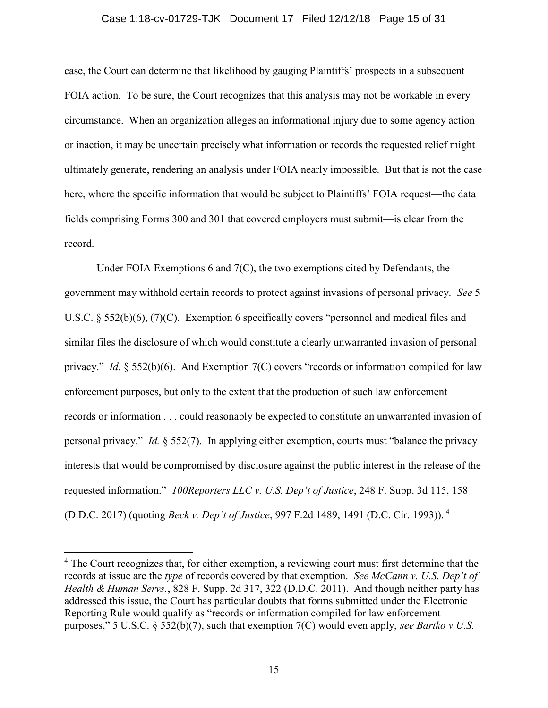#### Case 1:18-cv-01729-TJK Document 17 Filed 12/12/18 Page 15 of 31

case, the Court can determine that likelihood by gauging Plaintiffs' prospects in a subsequent FOIA action. To be sure, the Court recognizes that this analysis may not be workable in every circumstance. When an organization alleges an informational injury due to some agency action or inaction, it may be uncertain precisely what information or records the requested relief might ultimately generate, rendering an analysis under FOIA nearly impossible. But that is not the case here, where the specific information that would be subject to Plaintiffs' FOIA request—the data fields comprising Forms 300 and 301 that covered employers must submit—is clear from the record.

Under FOIA Exemptions 6 and 7(C), the two exemptions cited by Defendants, the government may withhold certain records to protect against invasions of personal privacy. See 5 U.S.C. § 552(b)(6), (7)(C). Exemption 6 specifically covers "personnel and medical files and similar files the disclosure of which would constitute a clearly unwarranted invasion of personal privacy." *Id.* § 552(b)(6). And Exemption 7(C) covers "records or information compiled for law enforcement purposes, but only to the extent that the production of such law enforcement records or information . . . could reasonably be expected to constitute an unwarranted invasion of personal privacy." Id.  $\S$  552(7). In applying either exemption, courts must "balance the privacy interests that would be compromised by disclosure against the public interest in the release of the requested information." 100Reporters LLC v. U.S. Dep't of Justice, 248 F. Supp. 3d 115, 158 (D.D.C. 2017) (quoting *Beck v. Dep't of Justice*, 997 F.2d 1489, 1491 (D.C. Cir. 1993)).<sup>4</sup>

<sup>&</sup>lt;sup>4</sup> The Court recognizes that, for either exemption, a reviewing court must first determine that the records at issue are the type of records covered by that exemption. See McCann v. U.S. Dep't of Health & Human Servs., 828 F. Supp. 2d 317, 322 (D.D.C. 2011). And though neither party has addressed this issue, the Court has particular doubts that forms submitted under the Electronic Reporting Rule would qualify as "records or information compiled for law enforcement purposes," 5 U.S.C. § 552(b)(7), such that exemption 7(C) would even apply, see Bartko v U.S.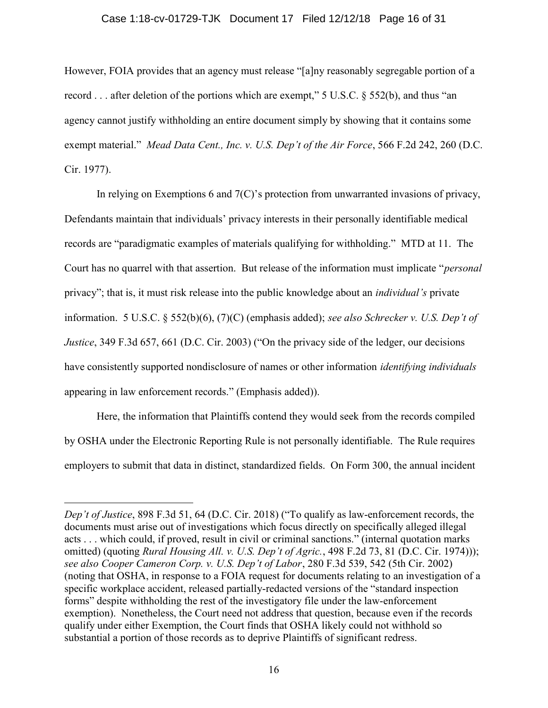# Case 1:18-cv-01729-TJK Document 17 Filed 12/12/18 Page 16 of 31

However, FOIA provides that an agency must release "[a]ny reasonably segregable portion of a record . . . after deletion of the portions which are exempt," 5 U.S.C. § 552(b), and thus "an agency cannot justify withholding an entire document simply by showing that it contains some exempt material." Mead Data Cent., Inc. v. U.S. Dep't of the Air Force, 566 F.2d 242, 260 (D.C. Cir. 1977).

In relying on Exemptions 6 and 7(C)'s protection from unwarranted invasions of privacy, Defendants maintain that individuals' privacy interests in their personally identifiable medical records are "paradigmatic examples of materials qualifying for withholding." MTD at 11. The Court has no quarrel with that assertion. But release of the information must implicate "personal privacy"; that is, it must risk release into the public knowledge about an individual's private information. 5 U.S.C. § 552(b)(6), (7)(C) (emphasis added); see also Schrecker v. U.S. Dep't of Justice, 349 F.3d 657, 661 (D.C. Cir. 2003) ("On the privacy side of the ledger, our decisions have consistently supported nondisclosure of names or other information *identifying individuals* appearing in law enforcement records." (Emphasis added)).

Here, the information that Plaintiffs contend they would seek from the records compiled by OSHA under the Electronic Reporting Rule is not personally identifiable. The Rule requires employers to submit that data in distinct, standardized fields. On Form 300, the annual incident

Dep't of Justice, 898 F.3d 51, 64 (D.C. Cir. 2018) ("To qualify as law-enforcement records, the documents must arise out of investigations which focus directly on specifically alleged illegal acts . . . which could, if proved, result in civil or criminal sanctions." (internal quotation marks omitted) (quoting Rural Housing All. v. U.S. Dep't of Agric., 498 F.2d 73, 81 (D.C. Cir. 1974))); see also Cooper Cameron Corp. v. U.S. Dep't of Labor, 280 F.3d 539, 542 (5th Cir. 2002) (noting that OSHA, in response to a FOIA request for documents relating to an investigation of a specific workplace accident, released partially-redacted versions of the "standard inspection forms" despite withholding the rest of the investigatory file under the law-enforcement exemption). Nonetheless, the Court need not address that question, because even if the records qualify under either Exemption, the Court finds that OSHA likely could not withhold so substantial a portion of those records as to deprive Plaintiffs of significant redress.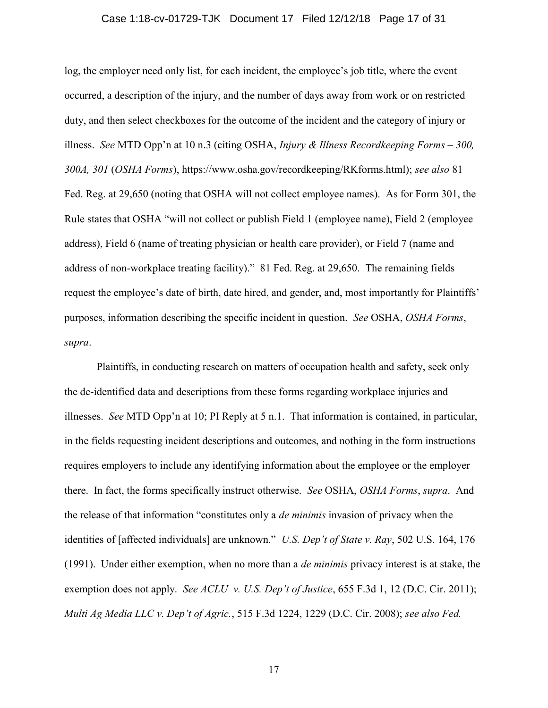### Case 1:18-cv-01729-TJK Document 17 Filed 12/12/18 Page 17 of 31

log, the employer need only list, for each incident, the employee's job title, where the event occurred, a description of the injury, and the number of days away from work or on restricted duty, and then select checkboxes for the outcome of the incident and the category of injury or illness. See MTD Opp'n at 10 n.3 (citing OSHA, *Injury & Illness Recordkeeping Forms – 300*, 300A, 301 (OSHA Forms), https://www.osha.gov/recordkeeping/RKforms.html); see also 81 Fed. Reg. at 29,650 (noting that OSHA will not collect employee names). As for Form 301, the Rule states that OSHA "will not collect or publish Field 1 (employee name), Field 2 (employee address), Field 6 (name of treating physician or health care provider), or Field 7 (name and address of non-workplace treating facility)." 81 Fed. Reg. at 29,650. The remaining fields request the employee's date of birth, date hired, and gender, and, most importantly for Plaintiffs' purposes, information describing the specific incident in question. See OSHA, OSHA Forms, supra.

Plaintiffs, in conducting research on matters of occupation health and safety, seek only the de-identified data and descriptions from these forms regarding workplace injuries and illnesses. See MTD Opp'n at 10; PI Reply at 5 n.1. That information is contained, in particular, in the fields requesting incident descriptions and outcomes, and nothing in the form instructions requires employers to include any identifying information about the employee or the employer there. In fact, the forms specifically instruct otherwise. See OSHA, OSHA Forms, supra. And the release of that information "constitutes only a de minimis invasion of privacy when the identities of [affected individuals] are unknown." U.S. Dep't of State v. Ray, 502 U.S. 164, 176 (1991). Under either exemption, when no more than a de minimis privacy interest is at stake, the exemption does not apply. See ACLU v. U.S. Dep't of Justice, 655 F.3d 1, 12 (D.C. Cir. 2011); Multi Ag Media LLC v. Dep't of Agric., 515 F.3d 1224, 1229 (D.C. Cir. 2008); see also Fed.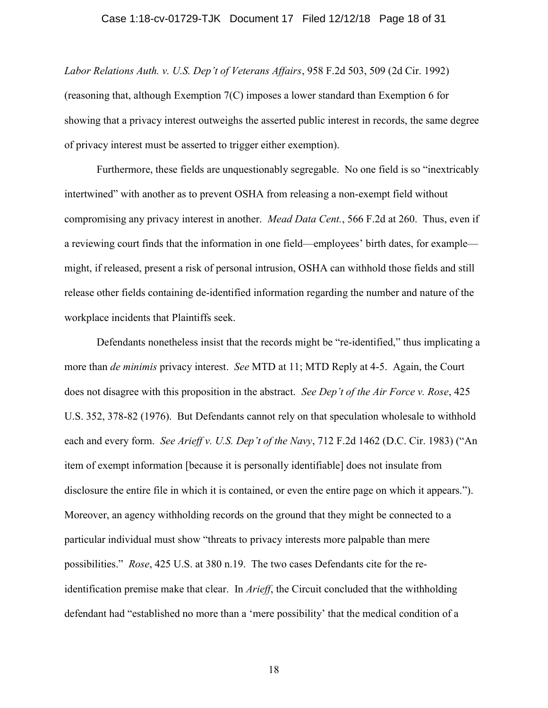### Case 1:18-cv-01729-TJK Document 17 Filed 12/12/18 Page 18 of 31

Labor Relations Auth. v. U.S. Dep't of Veterans Affairs, 958 F.2d 503, 509 (2d Cir. 1992) (reasoning that, although Exemption 7(C) imposes a lower standard than Exemption 6 for showing that a privacy interest outweighs the asserted public interest in records, the same degree of privacy interest must be asserted to trigger either exemption).

Furthermore, these fields are unquestionably segregable. No one field is so "inextricably intertwined" with another as to prevent OSHA from releasing a non-exempt field without compromising any privacy interest in another. Mead Data Cent., 566 F.2d at 260. Thus, even if a reviewing court finds that the information in one field—employees' birth dates, for example might, if released, present a risk of personal intrusion, OSHA can withhold those fields and still release other fields containing de-identified information regarding the number and nature of the workplace incidents that Plaintiffs seek.

Defendants nonetheless insist that the records might be "re-identified," thus implicating a more than *de minimis* privacy interest. See MTD at 11; MTD Reply at 4-5. Again, the Court does not disagree with this proposition in the abstract. See Dep't of the Air Force v. Rose, 425 U.S. 352, 378-82 (1976). But Defendants cannot rely on that speculation wholesale to withhold each and every form. See Arieff v. U.S. Dep't of the Navy, 712 F.2d 1462 (D.C. Cir. 1983) ("An item of exempt information [because it is personally identifiable] does not insulate from disclosure the entire file in which it is contained, or even the entire page on which it appears."). Moreover, an agency withholding records on the ground that they might be connected to a particular individual must show "threats to privacy interests more palpable than mere possibilities." Rose, 425 U.S. at 380 n.19. The two cases Defendants cite for the reidentification premise make that clear. In *Arieff*, the Circuit concluded that the withholding defendant had "established no more than a 'mere possibility' that the medical condition of a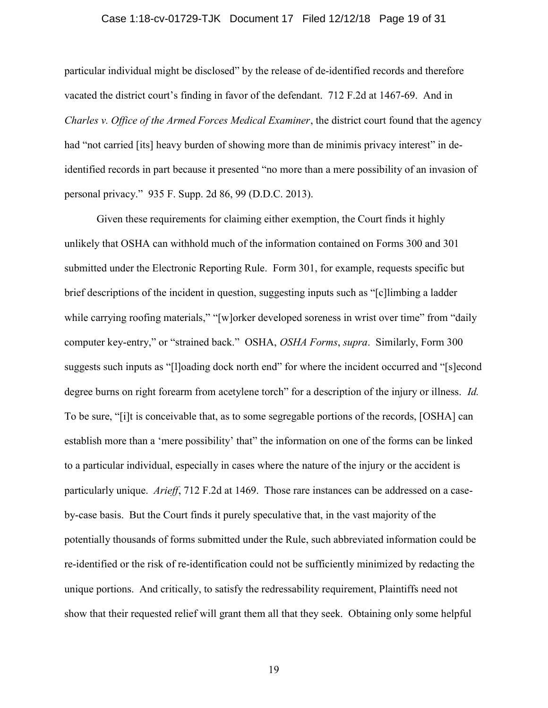### Case 1:18-cv-01729-TJK Document 17 Filed 12/12/18 Page 19 of 31

particular individual might be disclosed" by the release of de-identified records and therefore vacated the district court's finding in favor of the defendant. 712 F.2d at 1467-69. And in Charles v. Office of the Armed Forces Medical Examiner, the district court found that the agency had "not carried [its] heavy burden of showing more than de minimis privacy interest" in deidentified records in part because it presented "no more than a mere possibility of an invasion of personal privacy." 935 F. Supp. 2d 86, 99 (D.D.C. 2013).

Given these requirements for claiming either exemption, the Court finds it highly unlikely that OSHA can withhold much of the information contained on Forms 300 and 301 submitted under the Electronic Reporting Rule. Form 301, for example, requests specific but brief descriptions of the incident in question, suggesting inputs such as "[c]limbing a ladder while carrying roofing materials," "[w]orker developed soreness in wrist over time" from "daily" computer key-entry," or "strained back." OSHA, OSHA Forms, supra. Similarly, Form 300 suggests such inputs as "[l]oading dock north end" for where the incident occurred and "[s]econd degree burns on right forearm from acetylene torch" for a description of the injury or illness. *Id.* To be sure, "[i]t is conceivable that, as to some segregable portions of the records, [OSHA] can establish more than a 'mere possibility' that" the information on one of the forms can be linked to a particular individual, especially in cases where the nature of the injury or the accident is particularly unique. Arieff, 712 F.2d at 1469. Those rare instances can be addressed on a caseby-case basis. But the Court finds it purely speculative that, in the vast majority of the potentially thousands of forms submitted under the Rule, such abbreviated information could be re-identified or the risk of re-identification could not be sufficiently minimized by redacting the unique portions. And critically, to satisfy the redressability requirement, Plaintiffs need not show that their requested relief will grant them all that they seek. Obtaining only some helpful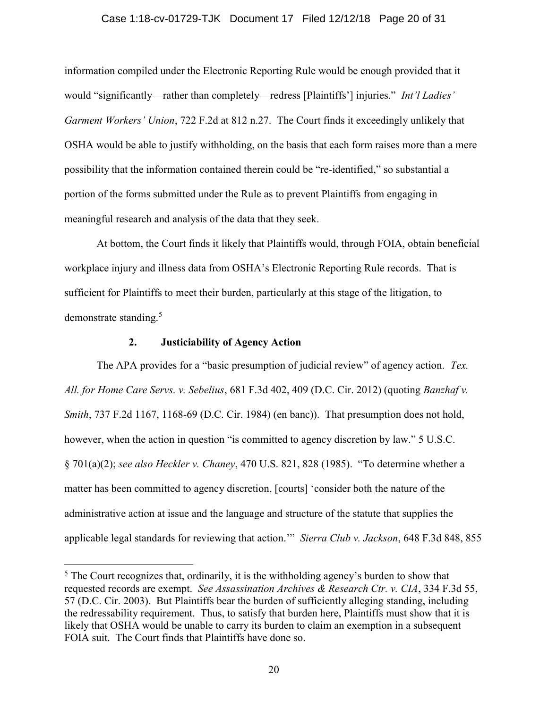# Case 1:18-cv-01729-TJK Document 17 Filed 12/12/18 Page 20 of 31

information compiled under the Electronic Reporting Rule would be enough provided that it would "significantly—rather than completely—redress [Plaintiffs'] injuries." Int'l Ladies' Garment Workers' Union, 722 F.2d at 812 n.27. The Court finds it exceedingly unlikely that OSHA would be able to justify withholding, on the basis that each form raises more than a mere possibility that the information contained therein could be "re-identified," so substantial a portion of the forms submitted under the Rule as to prevent Plaintiffs from engaging in meaningful research and analysis of the data that they seek.

 At bottom, the Court finds it likely that Plaintiffs would, through FOIA, obtain beneficial workplace injury and illness data from OSHA's Electronic Reporting Rule records. That is sufficient for Plaintiffs to meet their burden, particularly at this stage of the litigation, to demonstrate standing.<sup>5</sup>

# 2. Justiciability of Agency Action

 $\overline{a}$ 

The APA provides for a "basic presumption of judicial review" of agency action. Tex. All. for Home Care Servs. v. Sebelius, 681 F.3d 402, 409 (D.C. Cir. 2012) (quoting Banzhaf v. Smith, 737 F.2d 1167, 1168-69 (D.C. Cir. 1984) (en banc)). That presumption does not hold, however, when the action in question "is committed to agency discretion by law." 5 U.S.C. § 701(a)(2); see also Heckler v. Chaney, 470 U.S. 821, 828 (1985). "To determine whether a matter has been committed to agency discretion, [courts] 'consider both the nature of the administrative action at issue and the language and structure of the statute that supplies the applicable legal standards for reviewing that action."" Sierra Club v. Jackson, 648 F.3d 848, 855

 $<sup>5</sup>$  The Court recognizes that, ordinarily, it is the withholding agency's burden to show that</sup> requested records are exempt. See Assassination Archives & Research Ctr. v. CIA, 334 F.3d 55, 57 (D.C. Cir. 2003). But Plaintiffs bear the burden of sufficiently alleging standing, including the redressability requirement. Thus, to satisfy that burden here, Plaintiffs must show that it is likely that OSHA would be unable to carry its burden to claim an exemption in a subsequent FOIA suit. The Court finds that Plaintiffs have done so.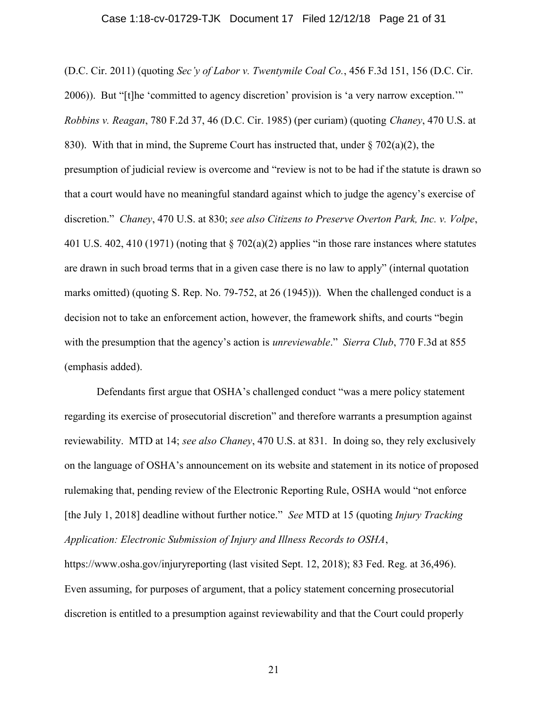### Case 1:18-cv-01729-TJK Document 17 Filed 12/12/18 Page 21 of 31

(D.C. Cir. 2011) (quoting Sec'y of Labor v. Twentymile Coal Co., 456 F.3d 151, 156 (D.C. Cir. 2006)). But "[t]he 'committed to agency discretion' provision is 'a very narrow exception.'" Robbins v. Reagan, 780 F.2d 37, 46 (D.C. Cir. 1985) (per curiam) (quoting Chaney, 470 U.S. at 830). With that in mind, the Supreme Court has instructed that, under § 702(a)(2), the presumption of judicial review is overcome and "review is not to be had if the statute is drawn so that a court would have no meaningful standard against which to judge the agency's exercise of discretion." Chaney, 470 U.S. at 830; see also Citizens to Preserve Overton Park, Inc. v. Volpe, 401 U.S. 402, 410 (1971) (noting that § 702(a)(2) applies "in those rare instances where statutes are drawn in such broad terms that in a given case there is no law to apply" (internal quotation marks omitted) (quoting S. Rep. No. 79-752, at 26 (1945))). When the challenged conduct is a decision not to take an enforcement action, however, the framework shifts, and courts "begin with the presumption that the agency's action is *unreviewable.*" Sierra Club, 770 F.3d at 855 (emphasis added).

Defendants first argue that OSHA's challenged conduct "was a mere policy statement regarding its exercise of prosecutorial discretion" and therefore warrants a presumption against reviewability. MTD at 14; see also Chaney, 470 U.S. at 831. In doing so, they rely exclusively on the language of OSHA's announcement on its website and statement in its notice of proposed rulemaking that, pending review of the Electronic Reporting Rule, OSHA would "not enforce [the July 1, 2018] deadline without further notice." See MTD at 15 (quoting *Injury Tracking* Application: Electronic Submission of Injury and Illness Records to OSHA,

https://www.osha.gov/injuryreporting (last visited Sept. 12, 2018); 83 Fed. Reg. at 36,496). Even assuming, for purposes of argument, that a policy statement concerning prosecutorial discretion is entitled to a presumption against reviewability and that the Court could properly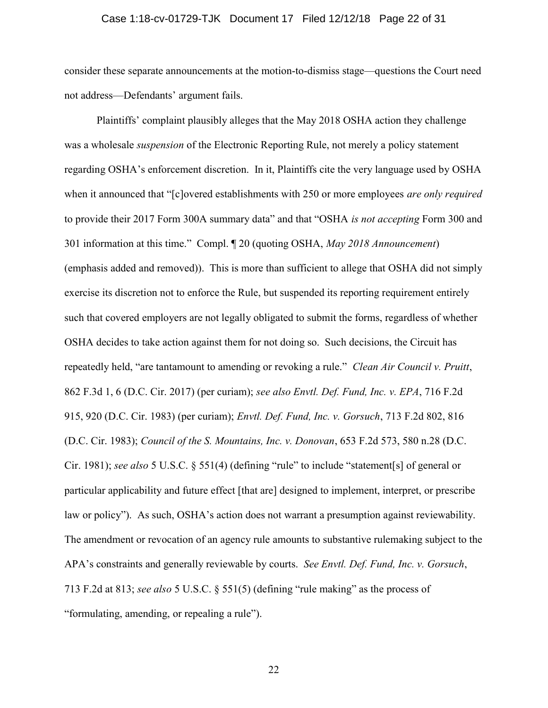### Case 1:18-cv-01729-TJK Document 17 Filed 12/12/18 Page 22 of 31

consider these separate announcements at the motion-to-dismiss stage—questions the Court need not address—Defendants' argument fails.

Plaintiffs' complaint plausibly alleges that the May 2018 OSHA action they challenge was a wholesale suspension of the Electronic Reporting Rule, not merely a policy statement regarding OSHA's enforcement discretion. In it, Plaintiffs cite the very language used by OSHA when it announced that "[c]overed establishments with 250 or more employees *are only required* to provide their 2017 Form 300A summary data" and that "OSHA is not accepting Form 300 and 301 information at this time." Compl. ¶ 20 (quoting OSHA, May 2018 Announcement) (emphasis added and removed)). This is more than sufficient to allege that OSHA did not simply exercise its discretion not to enforce the Rule, but suspended its reporting requirement entirely such that covered employers are not legally obligated to submit the forms, regardless of whether OSHA decides to take action against them for not doing so. Such decisions, the Circuit has repeatedly held, "are tantamount to amending or revoking a rule." Clean Air Council v. Pruitt, 862 F.3d 1, 6 (D.C. Cir. 2017) (per curiam); see also Envtl. Def. Fund, Inc. v. EPA, 716 F.2d 915, 920 (D.C. Cir. 1983) (per curiam); Envtl. Def. Fund, Inc. v. Gorsuch, 713 F.2d 802, 816 (D.C. Cir. 1983); Council of the S. Mountains, Inc. v. Donovan, 653 F.2d 573, 580 n.28 (D.C. Cir. 1981); see also 5 U.S.C. § 551(4) (defining "rule" to include "statement[s] of general or particular applicability and future effect [that are] designed to implement, interpret, or prescribe law or policy"). As such, OSHA's action does not warrant a presumption against reviewability. The amendment or revocation of an agency rule amounts to substantive rulemaking subject to the APA's constraints and generally reviewable by courts. See Envtl. Def. Fund, Inc. v. Gorsuch, 713 F.2d at 813; see also 5 U.S.C. § 551(5) (defining "rule making" as the process of "formulating, amending, or repealing a rule").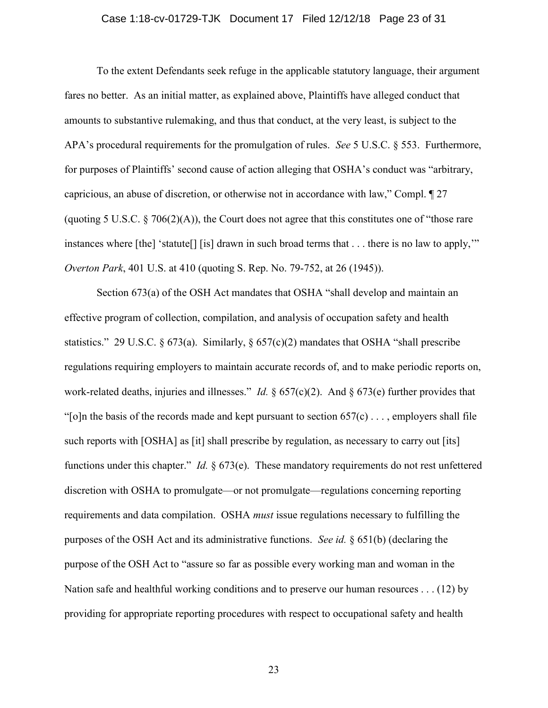### Case 1:18-cv-01729-TJK Document 17 Filed 12/12/18 Page 23 of 31

To the extent Defendants seek refuge in the applicable statutory language, their argument fares no better. As an initial matter, as explained above, Plaintiffs have alleged conduct that amounts to substantive rulemaking, and thus that conduct, at the very least, is subject to the APA's procedural requirements for the promulgation of rules. See 5 U.S.C. § 553. Furthermore, for purposes of Plaintiffs' second cause of action alleging that OSHA's conduct was "arbitrary, capricious, an abuse of discretion, or otherwise not in accordance with law," Compl. ¶ 27 (quoting 5 U.S.C.  $\S$  706(2)(A)), the Court does not agree that this constitutes one of "those rare" instances where [the] 'statute[] [is] drawn in such broad terms that . . . there is no law to apply,'" Overton Park, 401 U.S. at 410 (quoting S. Rep. No. 79-752, at 26 (1945)).

Section 673(a) of the OSH Act mandates that OSHA "shall develop and maintain an effective program of collection, compilation, and analysis of occupation safety and health statistics." 29 U.S.C. § 673(a). Similarly, § 657(c)(2) mandates that OSHA "shall prescribe regulations requiring employers to maintain accurate records of, and to make periodic reports on, work-related deaths, injuries and illnesses." *Id.*  $\S 657(c)(2)$ . And  $\S 673(e)$  further provides that "[o]n the basis of the records made and kept pursuant to section  $657(c) \ldots$ , employers shall file such reports with [OSHA] as [it] shall prescribe by regulation, as necessary to carry out [its] functions under this chapter." Id.  $\S 673(e)$ . These mandatory requirements do not rest unfettered discretion with OSHA to promulgate—or not promulgate—regulations concerning reporting requirements and data compilation. OSHA *must* issue regulations necessary to fulfilling the purposes of the OSH Act and its administrative functions. See id. § 651(b) (declaring the purpose of the OSH Act to "assure so far as possible every working man and woman in the Nation safe and healthful working conditions and to preserve our human resources . . . (12) by providing for appropriate reporting procedures with respect to occupational safety and health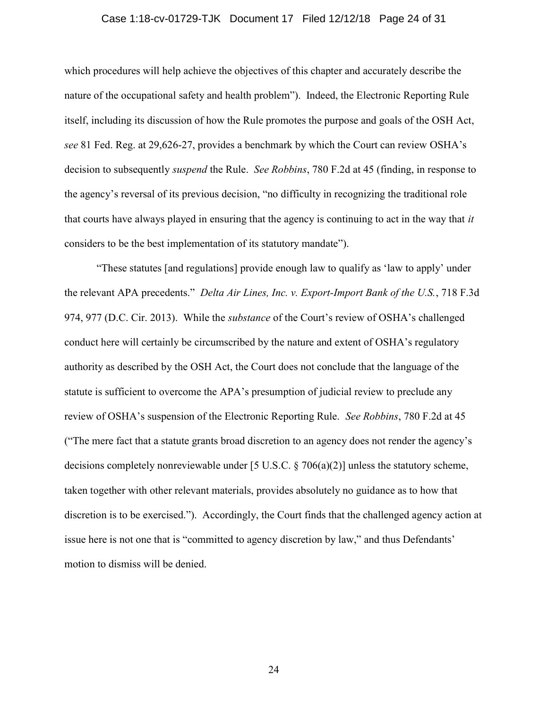### Case 1:18-cv-01729-TJK Document 17 Filed 12/12/18 Page 24 of 31

which procedures will help achieve the objectives of this chapter and accurately describe the nature of the occupational safety and health problem"). Indeed, the Electronic Reporting Rule itself, including its discussion of how the Rule promotes the purpose and goals of the OSH Act, see 81 Fed. Reg. at 29,626-27, provides a benchmark by which the Court can review OSHA's decision to subsequently *suspend* the Rule. See Robbins, 780 F.2d at 45 (finding, in response to the agency's reversal of its previous decision, "no difficulty in recognizing the traditional role that courts have always played in ensuring that the agency is continuing to act in the way that it considers to be the best implementation of its statutory mandate").

"These statutes [and regulations] provide enough law to qualify as 'law to apply' under the relevant APA precedents." Delta Air Lines, Inc. v. Export-Import Bank of the U.S., 718 F.3d 974, 977 (D.C. Cir. 2013). While the substance of the Court's review of OSHA's challenged conduct here will certainly be circumscribed by the nature and extent of OSHA's regulatory authority as described by the OSH Act, the Court does not conclude that the language of the statute is sufficient to overcome the APA's presumption of judicial review to preclude any review of OSHA's suspension of the Electronic Reporting Rule. See Robbins, 780 F.2d at 45 ("The mere fact that a statute grants broad discretion to an agency does not render the agency's decisions completely nonreviewable under [5 U.S.C.  $\S$  706(a)(2)] unless the statutory scheme, taken together with other relevant materials, provides absolutely no guidance as to how that discretion is to be exercised."). Accordingly, the Court finds that the challenged agency action at issue here is not one that is "committed to agency discretion by law," and thus Defendants' motion to dismiss will be denied.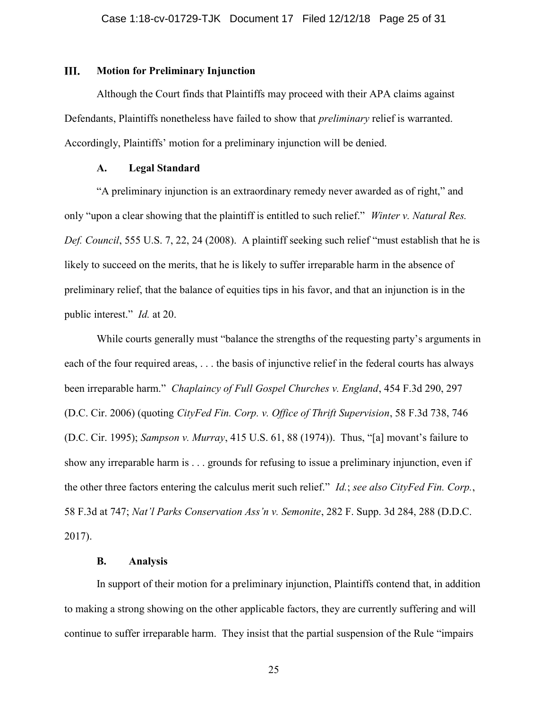#### III. Motion for Preliminary Injunction

Although the Court finds that Plaintiffs may proceed with their APA claims against Defendants, Plaintiffs nonetheless have failed to show that preliminary relief is warranted. Accordingly, Plaintiffs' motion for a preliminary injunction will be denied.

# A. Legal Standard

"A preliminary injunction is an extraordinary remedy never awarded as of right," and only "upon a clear showing that the plaintiff is entitled to such relief." Winter v. Natural Res. Def. Council, 555 U.S. 7, 22, 24 (2008). A plaintiff seeking such relief "must establish that he is likely to succeed on the merits, that he is likely to suffer irreparable harm in the absence of preliminary relief, that the balance of equities tips in his favor, and that an injunction is in the public interest." Id. at 20.

While courts generally must "balance the strengths of the requesting party's arguments in each of the four required areas, . . . the basis of injunctive relief in the federal courts has always been irreparable harm." Chaplaincy of Full Gospel Churches v. England, 454 F.3d 290, 297 (D.C. Cir. 2006) (quoting CityFed Fin. Corp. v. Office of Thrift Supervision, 58 F.3d 738, 746 (D.C. Cir. 1995); Sampson v. Murray, 415 U.S. 61, 88 (1974)). Thus, "[a] movant's failure to show any irreparable harm is . . . grounds for refusing to issue a preliminary injunction, even if the other three factors entering the calculus merit such relief." Id.; see also CityFed Fin. Corp., 58 F.3d at 747; Nat'l Parks Conservation Ass'n v. Semonite, 282 F. Supp. 3d 284, 288 (D.D.C. 2017).

#### B. Analysis

In support of their motion for a preliminary injunction, Plaintiffs contend that, in addition to making a strong showing on the other applicable factors, they are currently suffering and will continue to suffer irreparable harm. They insist that the partial suspension of the Rule "impairs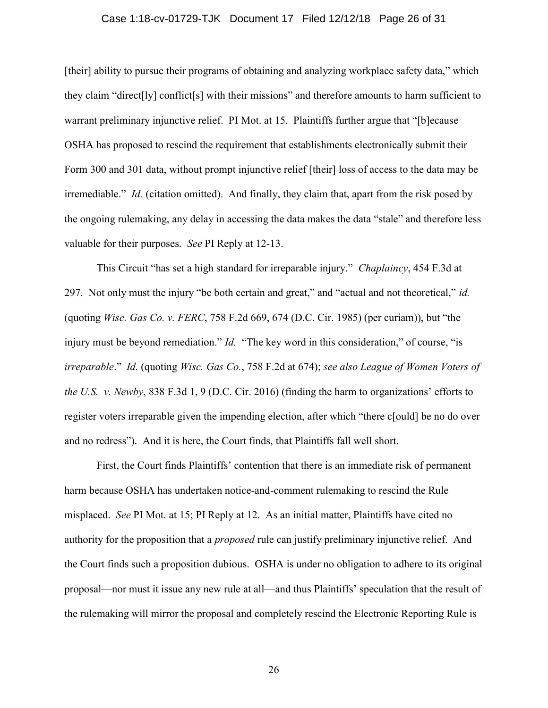### Case 1:18-cv-01729-TJK Document 17 Filed 12/12/18 Page 26 of 31

[their] ability to pursue their programs of obtaining and analyzing workplace safety data," which they claim "direct[ly] conflict[s] with their missions" and therefore amounts to harm sufficient to warrant preliminary injunctive relief. PI Mot. at 15. Plaintiffs further argue that "[b]ecause OSHA has proposed to rescind the requirement that establishments electronically submit their Form 300 and 301 data, without prompt injunctive relief [their] loss of access to the data may be irremediable." Id. (citation omitted). And finally, they claim that, apart from the risk posed by the ongoing rulemaking, any delay in accessing the data makes the data "stale" and therefore less valuable for their purposes. See PI Reply at 12-13.

This Circuit "has set a high standard for irreparable injury." Chaplaincy, 454 F.3d at 297. Not only must the injury "be both certain and great," and "actual and not theoretical," id. (quoting Wisc. Gas Co. v. FERC, 758 F.2d 669, 674 (D.C. Cir. 1985) (per curiam)), but "the injury must be beyond remediation." *Id.* "The key word in this consideration," of course, "is irreparable." Id. (quoting Wisc. Gas Co., 758 F.2d at 674); see also League of Women Voters of the U.S. v. Newby, 838 F.3d 1, 9 (D.C. Cir. 2016) (finding the harm to organizations' efforts to register voters irreparable given the impending election, after which "there c[ould] be no do over and no redress"). And it is here, the Court finds, that Plaintiffs fall well short.

First, the Court finds Plaintiffs' contention that there is an immediate risk of permanent harm because OSHA has undertaken notice-and-comment rulemaking to rescind the Rule misplaced. See PI Mot. at 15; PI Reply at 12. As an initial matter, Plaintiffs have cited no authority for the proposition that a *proposed* rule can justify preliminary injunctive relief. And the Court finds such a proposition dubious. OSHA is under no obligation to adhere to its original proposal—nor must it issue any new rule at all—and thus Plaintiffs' speculation that the result of the rulemaking will mirror the proposal and completely rescind the Electronic Reporting Rule is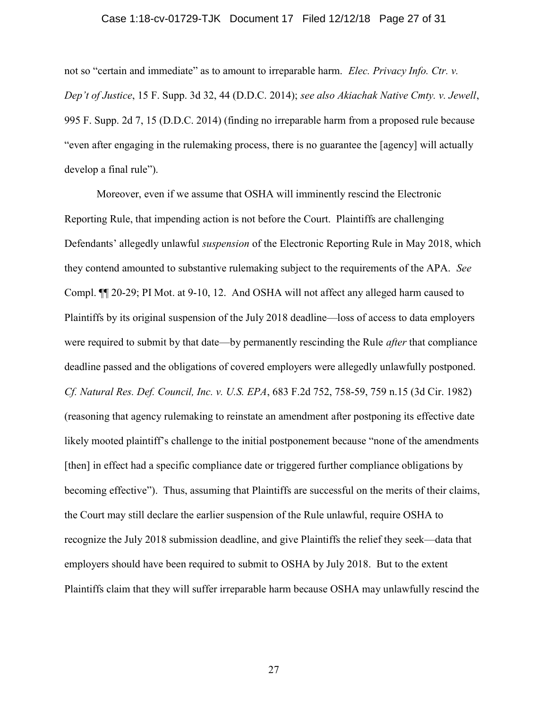### Case 1:18-cv-01729-TJK Document 17 Filed 12/12/18 Page 27 of 31

not so "certain and immediate" as to amount to irreparable harm. *Elec. Privacy Info. Ctr. v.* Dep't of Justice, 15 F. Supp. 3d 32, 44 (D.D.C. 2014); see also Akiachak Native Cmty. v. Jewell, 995 F. Supp. 2d 7, 15 (D.D.C. 2014) (finding no irreparable harm from a proposed rule because "even after engaging in the rulemaking process, there is no guarantee the [agency] will actually develop a final rule").

Moreover, even if we assume that OSHA will imminently rescind the Electronic Reporting Rule, that impending action is not before the Court. Plaintiffs are challenging Defendants' allegedly unlawful suspension of the Electronic Reporting Rule in May 2018, which they contend amounted to substantive rulemaking subject to the requirements of the APA. See Compl. ¶¶ 20-29; PI Mot. at 9-10, 12. And OSHA will not affect any alleged harm caused to Plaintiffs by its original suspension of the July 2018 deadline—loss of access to data employers were required to submit by that date—by permanently rescinding the Rule *after* that compliance deadline passed and the obligations of covered employers were allegedly unlawfully postponed. Cf. Natural Res. Def. Council, Inc. v. U.S. EPA, 683 F.2d 752, 758-59, 759 n.15 (3d Cir. 1982) (reasoning that agency rulemaking to reinstate an amendment after postponing its effective date likely mooted plaintiff's challenge to the initial postponement because "none of the amendments [then] in effect had a specific compliance date or triggered further compliance obligations by becoming effective"). Thus, assuming that Plaintiffs are successful on the merits of their claims, the Court may still declare the earlier suspension of the Rule unlawful, require OSHA to recognize the July 2018 submission deadline, and give Plaintiffs the relief they seek—data that employers should have been required to submit to OSHA by July 2018. But to the extent Plaintiffs claim that they will suffer irreparable harm because OSHA may unlawfully rescind the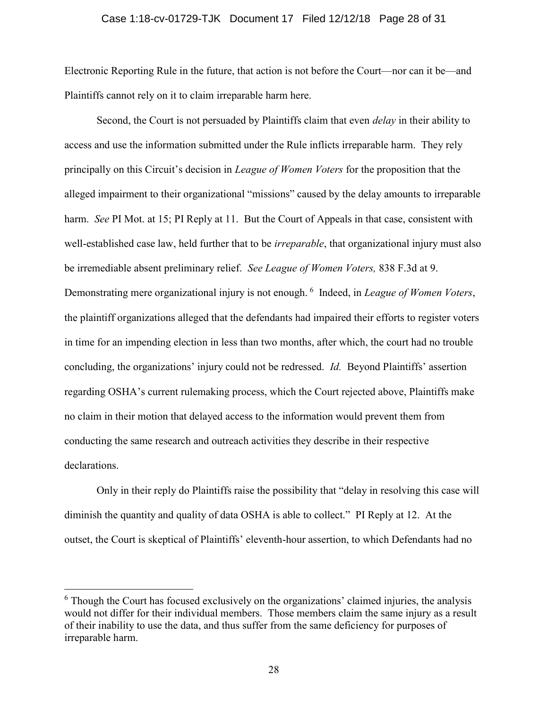#### Case 1:18-cv-01729-TJK Document 17 Filed 12/12/18 Page 28 of 31

Electronic Reporting Rule in the future, that action is not before the Court—nor can it be—and Plaintiffs cannot rely on it to claim irreparable harm here.

Second, the Court is not persuaded by Plaintiffs claim that even *delay* in their ability to access and use the information submitted under the Rule inflicts irreparable harm. They rely principally on this Circuit's decision in League of Women Voters for the proposition that the alleged impairment to their organizational "missions" caused by the delay amounts to irreparable harm. See PI Mot. at 15; PI Reply at 11. But the Court of Appeals in that case, consistent with well-established case law, held further that to be *irreparable*, that organizational injury must also be irremediable absent preliminary relief. See League of Women Voters, 838 F.3d at 9. Demonstrating mere organizational injury is not enough.<sup>6</sup> Indeed, in *League of Women Voters*, the plaintiff organizations alleged that the defendants had impaired their efforts to register voters in time for an impending election in less than two months, after which, the court had no trouble concluding, the organizations' injury could not be redressed. Id. Beyond Plaintiffs' assertion regarding OSHA's current rulemaking process, which the Court rejected above, Plaintiffs make no claim in their motion that delayed access to the information would prevent them from conducting the same research and outreach activities they describe in their respective declarations.

Only in their reply do Plaintiffs raise the possibility that "delay in resolving this case will diminish the quantity and quality of data OSHA is able to collect." PI Reply at 12. At the outset, the Court is skeptical of Plaintiffs' eleventh-hour assertion, to which Defendants had no

 $6$  Though the Court has focused exclusively on the organizations' claimed injuries, the analysis would not differ for their individual members. Those members claim the same injury as a result of their inability to use the data, and thus suffer from the same deficiency for purposes of irreparable harm.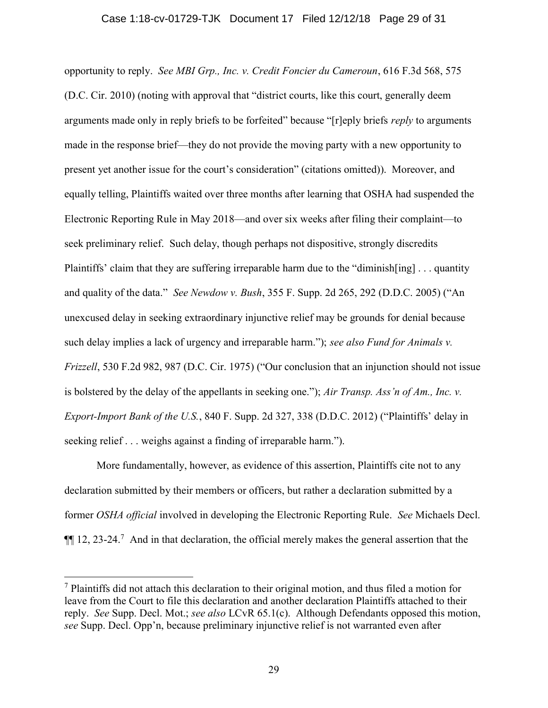#### Case 1:18-cv-01729-TJK Document 17 Filed 12/12/18 Page 29 of 31

opportunity to reply. See MBI Grp., Inc. v. Credit Foncier du Cameroun, 616 F.3d 568, 575 (D.C. Cir. 2010) (noting with approval that "district courts, like this court, generally deem arguments made only in reply briefs to be forfeited" because "[r]eply briefs *reply* to arguments made in the response brief—they do not provide the moving party with a new opportunity to present yet another issue for the court's consideration" (citations omitted)). Moreover, and equally telling, Plaintiffs waited over three months after learning that OSHA had suspended the Electronic Reporting Rule in May 2018—and over six weeks after filing their complaint—to seek preliminary relief. Such delay, though perhaps not dispositive, strongly discredits Plaintiffs' claim that they are suffering irreparable harm due to the "diminish [ing] . . . quantity and quality of the data." See Newdow v. Bush, 355 F. Supp. 2d 265, 292 (D.D.C. 2005) ("An unexcused delay in seeking extraordinary injunctive relief may be grounds for denial because such delay implies a lack of urgency and irreparable harm."); see also Fund for Animals v. Frizzell, 530 F.2d 982, 987 (D.C. Cir. 1975) ("Our conclusion that an injunction should not issue is bolstered by the delay of the appellants in seeking one."); Air Transp. Ass'n of Am., Inc. v. Export-Import Bank of the U.S., 840 F. Supp. 2d 327, 338 (D.D.C. 2012) ("Plaintiffs' delay in seeking relief . . . weighs against a finding of irreparable harm.").

More fundamentally, however, as evidence of this assertion, Plaintiffs cite not to any declaration submitted by their members or officers, but rather a declaration submitted by a former *OSHA official* involved in developing the Electronic Reporting Rule. *See* Michaels Decl.  $\P$  12, 23-24.<sup>7</sup> And in that declaration, the official merely makes the general assertion that the

<sup>&</sup>lt;sup>7</sup> Plaintiffs did not attach this declaration to their original motion, and thus filed a motion for leave from the Court to file this declaration and another declaration Plaintiffs attached to their reply. See Supp. Decl. Mot.; see also LCvR 65.1(c). Although Defendants opposed this motion, see Supp. Decl. Opp'n, because preliminary injunctive relief is not warranted even after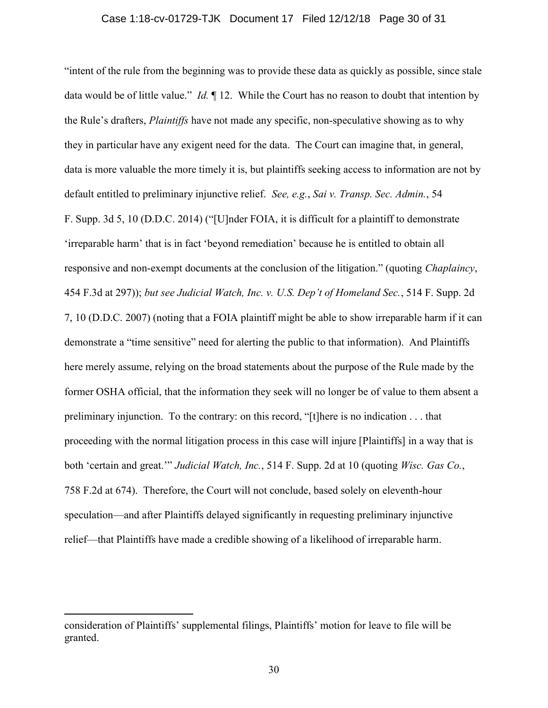#### Case 1:18-cv-01729-TJK Document 17 Filed 12/12/18 Page 30 of 31

"intent of the rule from the beginning was to provide these data as quickly as possible, since stale data would be of little value." *Id.* 12. While the Court has no reason to doubt that intention by the Rule's drafters, *Plaintiffs* have not made any specific, non-speculative showing as to why they in particular have any exigent need for the data. The Court can imagine that, in general, data is more valuable the more timely it is, but plaintiffs seeking access to information are not by default entitled to preliminary injunctive relief. See, e.g., Sai v. Transp. Sec. Admin., 54 F. Supp. 3d 5, 10 (D.D.C. 2014) ("[U]nder FOIA, it is difficult for a plaintiff to demonstrate 'irreparable harm' that is in fact 'beyond remediation' because he is entitled to obtain all responsive and non-exempt documents at the conclusion of the litigation." (quoting Chaplaincy, 454 F.3d at 297)); but see Judicial Watch, Inc. v. U.S. Dep't of Homeland Sec., 514 F. Supp. 2d 7, 10 (D.D.C. 2007) (noting that a FOIA plaintiff might be able to show irreparable harm if it can demonstrate a "time sensitive" need for alerting the public to that information). And Plaintiffs here merely assume, relying on the broad statements about the purpose of the Rule made by the former OSHA official, that the information they seek will no longer be of value to them absent a preliminary injunction. To the contrary: on this record, "[t]here is no indication . . . that proceeding with the normal litigation process in this case will injure [Plaintiffs] in a way that is both 'certain and great.'" *Judicial Watch, Inc.*, 514 F. Supp. 2d at 10 (quoting *Wisc. Gas Co.*, 758 F.2d at 674). Therefore, the Court will not conclude, based solely on eleventh-hour speculation—and after Plaintiffs delayed significantly in requesting preliminary injunctive relief—that Plaintiffs have made a credible showing of a likelihood of irreparable harm.

consideration of Plaintiffs' supplemental filings, Plaintiffs' motion for leave to file will be granted.